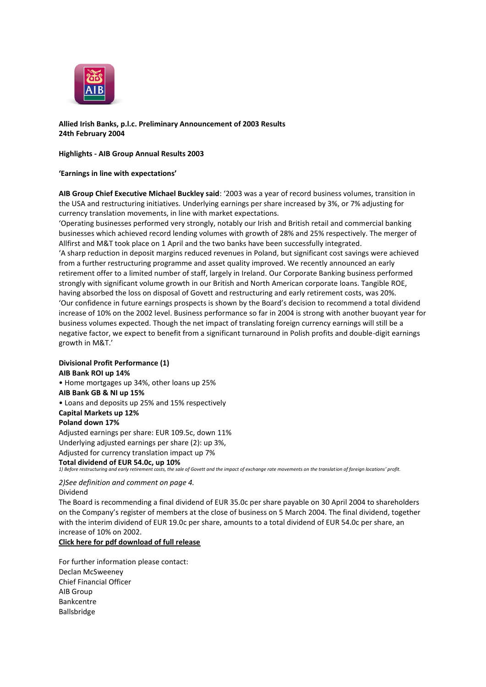

# **Allied Irish Banks, p.l.c. Preliminary Announcement of 2003 Results 24th February 2004**

#### **Highlights - AIB Group Annual Results 2003**

### **'Earnings in line with expectations'**

**AIB Group Chief Executive Michael Buckley said**: '2003 was a year of record business volumes, transition in the USA and restructuring initiatives. Underlying earnings per share increased by 3%, or 7% adjusting for currency translation movements, in line with market expectations.

'Operating businesses performed very strongly, notably our Irish and British retail and commercial banking businesses which achieved record lending volumes with growth of 28% and 25% respectively. The merger of Allfirst and M&T took place on 1 April and the two banks have been successfully integrated. 'A sharp reduction in deposit margins reduced revenues in Poland, but significant cost savings were achieved from a further restructuring programme and asset quality improved. We recently announced an early retirement offer to a limited number of staff, largely in Ireland. Our Corporate Banking business performed strongly with significant volume growth in our British and North American corporate loans. Tangible ROE, having absorbed the loss on disposal of Govett and restructuring and early retirement costs, was 20%. 'Our confidence in future earnings prospects is shown by the Board's decision to recommend a total dividend increase of 10% on the 2002 level. Business performance so far in 2004 is strong with another buoyant year for business volumes expected. Though the net impact of translating foreign currency earnings will still be a negative factor, we expect to benefit from a significant turnaround in Polish profits and double-digit earnings growth in M&T.'

## **Divisional Profit Performance (1) AIB Bank ROI up 14%** • Home mortgages up 34%, other loans up 25% **AIB Bank GB & NI up 15%** • Loans and deposits up 25% and 15% respectively **Capital Markets up 12% Poland down 17%** Adjusted earnings per share: EUR 109.5c, down 11% Underlying adjusted earnings per share (2): up 3%, Adjusted for currency translation impact up 7% **Total dividend of EUR 54.0c, up 10%** *1) Before restructuring and early retirement costs, the sale of Govett and the impact of exchange rate movements on the translation of foreign locations' profit.*

*2)See definition and comment on page 4.* Dividend

The Board is recommending a final dividend of EUR 35.0c per share payable on 30 April 2004 to shareholders on the Company's register of members at the close of business on 5 March 2004. The final dividend, together with the interim dividend of EUR 19.0c per share, amounts to a total dividend of EUR 54.0c per share, an increase of 10% on 2002.

### **[Click here for pdf download of full release](http://www.aib.ie/servlet/ContentServer?pagename=AIB_InvestorRelations/AIB_Download/aib_ir_d_download&c=AIB_Download&cid=1066759436118&irSection=CR)**

For further information please contact: Declan McSweeney Chief Financial Officer AIB Group Bankcentre Ballsbridge